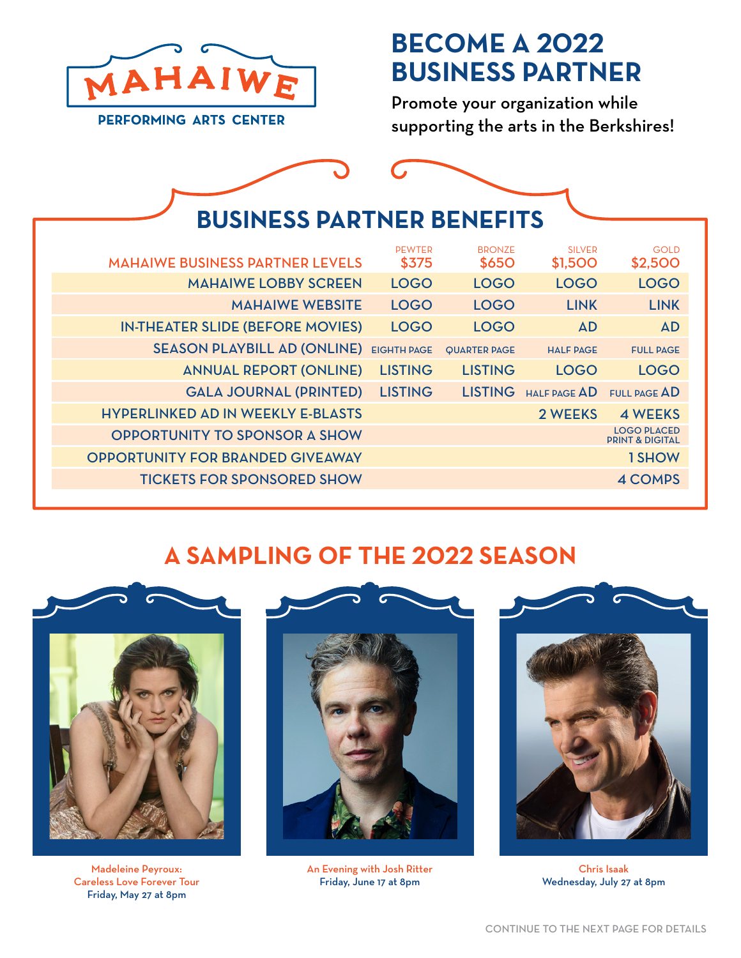

## **BECOME A 2022 BUSINESS PARTNER**

Promote your organization while supporting the arts in the Berkshires!

| <b>BUSINESS PARTNER BENEFITS</b>                                                                                                                        |
|---------------------------------------------------------------------------------------------------------------------------------------------------------|
|                                                                                                                                                         |
| <b>PEWTER</b><br><b>BRONZE</b><br><b>SILVER</b><br><b>GOLD</b><br><b>MAHAIWE BUSINESS PARTNER LEVELS</b><br><b>\$650</b><br>\$375<br>\$1,500<br>\$2,500 |
| <b>MAHAIWE LOBBY SCREEN</b><br><b>LOGO</b><br><b>LOGO</b><br><b>LOGO</b><br><b>LOGO</b>                                                                 |
| <b>MAHAIWE WEBSITE</b><br><b>LINK</b><br><b>LOGO</b><br><b>LOGO</b><br><b>LINK</b>                                                                      |
| <b>IN-THEATER SLIDE (BEFORE MOVIES)</b><br><b>AD</b><br><b>AD</b><br><b>LOGO</b><br><b>LOGO</b>                                                         |
| <b>SEASON PLAYBILL AD (ONLINE)</b><br><b>EIGHTH PAGE</b><br><b>QUARTER PAGE</b><br><b>HALF PAGE</b><br><b>FULL PAGE</b>                                 |
| <b>ANNUAL REPORT (ONLINE)</b><br><b>LISTING</b><br><b>LISTING</b><br><b>LOGO</b><br><b>LOGO</b>                                                         |
| <b>GALA JOURNAL (PRINTED)</b><br><b>LISTING</b><br>LISTING HALF PAGE AD<br>FULL PAGE AD                                                                 |
| <b>HYPERLINKED AD IN WEEKLY E-BLASTS</b><br>2 WEEKS<br><b>4 WEEKS</b>                                                                                   |
| <b>LOGO PLACED</b><br><b>OPPORTUNITY TO SPONSOR A SHOW</b><br><b>PRINT &amp; DIGITAL</b>                                                                |
| <b>OPPORTUNITY FOR BRANDED GIVEAWAY</b><br>1 SHOW                                                                                                       |
| <b>TICKETS FOR SPONSORED SHOW</b><br>4 COMPS                                                                                                            |

## **A SAMPLING OF THE 2022 SEASON**



Chris Isaak Wednesday, July 27 at 8pm



An Evening with Josh Ritter Friday, June 17 at 8pm



Madeleine Peyroux: Careless Love Forever Tour Friday, May 27 at 8pm